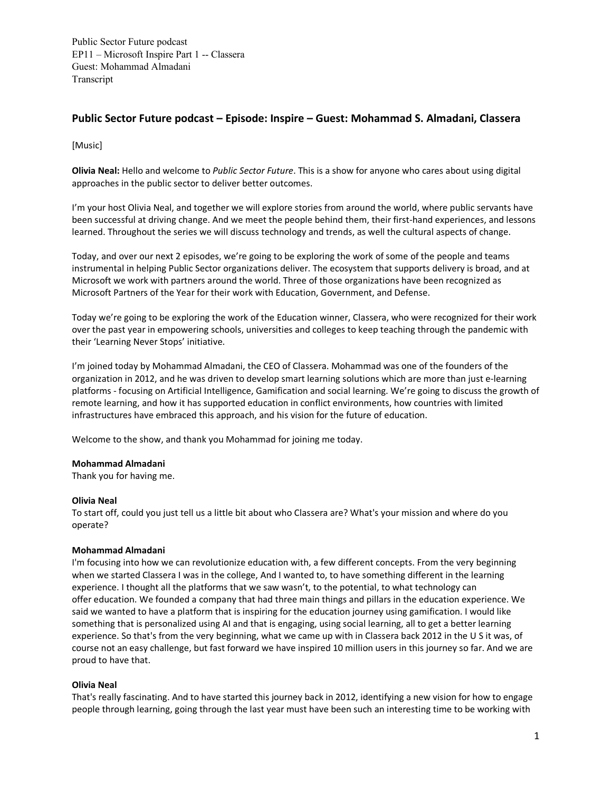# **Public Sector Future podcast – Episode: Inspire – Guest: Mohammad S. Almadani, Classera**

[Music]

**Olivia Neal:** Hello and welcome to *Public Sector Future*. This is a show for anyone who cares about using digital approaches in the public sector to deliver better outcomes.  

I'm your host Olivia Neal, and together we will explore stories from around the world, where public servants have been successful at driving change. And we meet the people behind them, their first-hand experiences, and lessons learned. Throughout the series we will discuss technology and trends, as well the cultural aspects of change.  

Today, and over our next 2 episodes, we're going to be exploring the work of some of the people and teams instrumental in helping Public Sector organizations deliver. The ecosystem that supports delivery is broad, and at Microsoft we work with partners around the world. Three of those organizations have been recognized as Microsoft Partners of the Year for their work with Education, Government, and Defense.

Today we're going to be exploring the work of the Education winner, Classera, who were recognized for their work over the past year in empowering schools, universities and colleges to keep teaching through the pandemic with their 'Learning Never Stops' initiative.

I'm joined today by Mohammad Almadani, the CEO of Classera. Mohammad was one of the founders of the organization in 2012, and he was driven to develop smart learning solutions which are more than just e-learning platforms - focusing on Artificial Intelligence, Gamification and social learning. We're going to discuss the growth of remote learning, and how it has supported education in conflict environments, how countries with limited infrastructures have embraced this approach, and his vision for the future of education.

Welcome to the show, and thank you Mohammad for joining me today.

# **Mohammad Almadani**

Thank you for having me.

# **Olivia Neal**

To start off, could you just tell us a little bit about who Classera are? What's your mission and where do you operate?

# **Mohammad Almadani**

I'm focusing into how we can revolutionize education with, a few different concepts. From the very beginning when we started Classera I was in the college, And I wanted to, to have something different in the learning experience. I thought all the platforms that we saw wasn't, to the potential, to what technology can offer education. We founded a company that had three main things and pillars in the education experience. We said we wanted to have a platform that is inspiring for the education journey using gamification. I would like something that is personalized using AI and that is engaging, using social learning, all to get a better learning experience. So that's from the very beginning, what we came up with in Classera back 2012 in the U S it was, of course not an easy challenge, but fast forward we have inspired 10 million users in this journey so far. And we are proud to have that.

# **Olivia Neal**

That's really fascinating. And to have started this journey back in 2012, identifying a new vision for how to engage people through learning, going through the last year must have been such an interesting time to be working with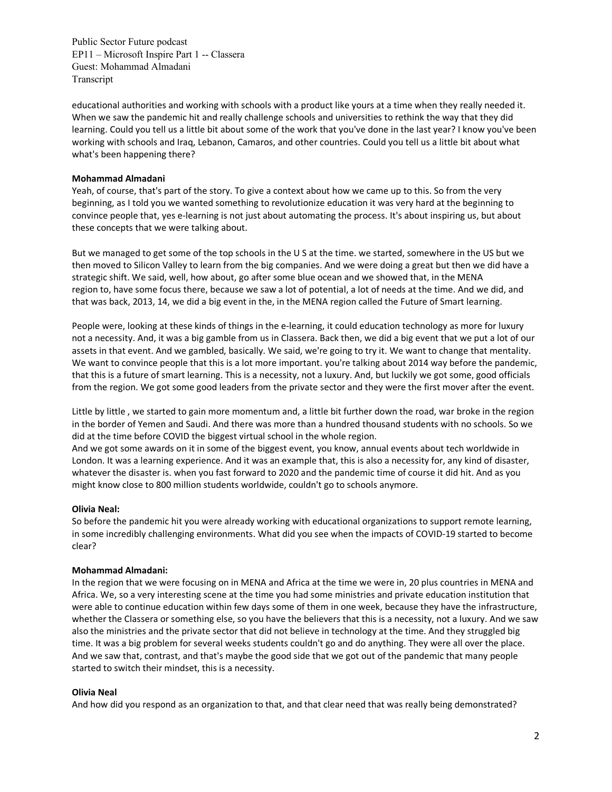educational authorities and working with schools with a product like yours at a time when they really needed it. When we saw the pandemic hit and really challenge schools and universities to rethink the way that they did learning. Could you tell us a little bit about some of the work that you've done in the last year? I know you've been working with schools and Iraq, Lebanon, Camaros, and other countries. Could you tell us a little bit about what what's been happening there?

# **Mohammad Almadani**

Yeah, of course, that's part of the story. To give a context about how we came up to this. So from the very beginning, as I told you we wanted something to revolutionize education it was very hard at the beginning to convince people that, yes e-learning is not just about automating the process. It's about inspiring us, but about these concepts that we were talking about.

But we managed to get some of the top schools in the U S at the time. we started, somewhere in the US but we then moved to Silicon Valley to learn from the big companies. And we were doing a great but then we did have a strategic shift. We said, well, how about, go after some blue ocean and we showed that, in the MENA region to, have some focus there, because we saw a lot of potential, a lot of needs at the time. And we did, and that was back, 2013, 14, we did a big event in the, in the MENA region called the Future of Smart learning.

People were, looking at these kinds of things in the e-learning, it could education technology as more for luxury not a necessity. And, it was a big gamble from us in Classera. Back then, we did a big event that we put a lot of our assets in that event. And we gambled, basically. We said, we're going to try it. We want to change that mentality. We want to convince people that this is a lot more important. you're talking about 2014 way before the pandemic, that this is a future of smart learning. This is a necessity, not a luxury. And, but luckily we got some, good officials from the region. We got some good leaders from the private sector and they were the first mover after the event.

Little by little , we started to gain more momentum and, a little bit further down the road, war broke in the region in the border of Yemen and Saudi. And there was more than a hundred thousand students with no schools. So we did at the time before COVID the biggest virtual school in the whole region.

And we got some awards on it in some of the biggest event, you know, annual events about tech worldwide in London. It was a learning experience. And it was an example that, this is also a necessity for, any kind of disaster, whatever the disaster is. when you fast forward to 2020 and the pandemic time of course it did hit. And as you might know close to 800 million students worldwide, couldn't go to schools anymore.

# **Olivia Neal:**

So before the pandemic hit you were already working with educational organizations to support remote learning, in some incredibly challenging environments. What did you see when the impacts of COVID-19 started to become clear?

# **Mohammad Almadani:**

In the region that we were focusing on in MENA and Africa at the time we were in, 20 plus countries in MENA and Africa. We, so a very interesting scene at the time you had some ministries and private education institution that were able to continue education within few days some of them in one week, because they have the infrastructure, whether the Classera or something else, so you have the believers that this is a necessity, not a luxury. And we saw also the ministries and the private sector that did not believe in technology at the time. And they struggled big time. It was a big problem for several weeks students couldn't go and do anything. They were all over the place. And we saw that, contrast, and that's maybe the good side that we got out of the pandemic that many people started to switch their mindset, this is a necessity.

# **Olivia Neal**

And how did you respond as an organization to that, and that clear need that was really being demonstrated?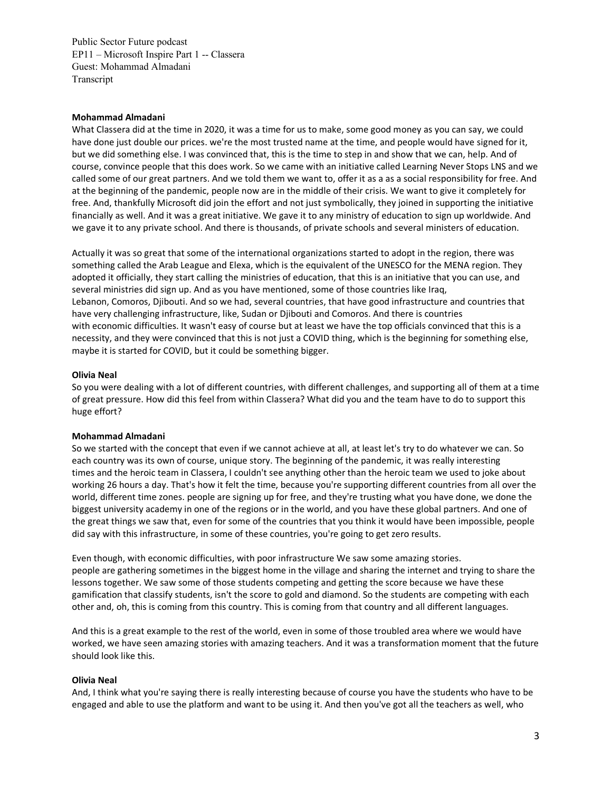# **Mohammad Almadani**

What Classera did at the time in 2020, it was a time for us to make, some good money as you can say, we could have done just double our prices. we're the most trusted name at the time, and people would have signed for it, but we did something else. I was convinced that, this is the time to step in and show that we can, help. And of course, convince people that this does work. So we came with an initiative called Learning Never Stops LNS and we called some of our great partners. And we told them we want to, offer it as a as a social responsibility for free. And at the beginning of the pandemic, people now are in the middle of their crisis. We want to give it completely for free. And, thankfully Microsoft did join the effort and not just symbolically, they joined in supporting the initiative financially as well. And it was a great initiative. We gave it to any ministry of education to sign up worldwide. And we gave it to any private school. And there is thousands, of private schools and several ministers of education.

Actually it was so great that some of the international organizations started to adopt in the region, there was something called the Arab League and Elexa, which is the equivalent of the UNESCO for the MENA region. They adopted it officially, they start calling the ministries of education, that this is an initiative that you can use, and several ministries did sign up. And as you have mentioned, some of those countries like Iraq, Lebanon, Comoros, Djibouti. And so we had, several countries, that have good infrastructure and countries that have very challenging infrastructure, like, Sudan or Djibouti and Comoros. And there is countries with economic difficulties. It wasn't easy of course but at least we have the top officials convinced that this is a necessity, and they were convinced that this is not just a COVID thing, which is the beginning for something else, maybe it is started for COVID, but it could be something bigger.

#### **Olivia Neal**

So you were dealing with a lot of different countries, with different challenges, and supporting all of them at a time of great pressure. How did this feel from within Classera? What did you and the team have to do to support this huge effort?

#### **Mohammad Almadani**

So we started with the concept that even if we cannot achieve at all, at least let's try to do whatever we can. So each country was its own of course, unique story. The beginning of the pandemic, it was really interesting times and the heroic team in Classera, I couldn't see anything other than the heroic team we used to joke about working 26 hours a day. That's how it felt the time, because you're supporting different countries from all over the world, different time zones. people are signing up for free, and they're trusting what you have done, we done the biggest university academy in one of the regions or in the world, and you have these global partners. And one of the great things we saw that, even for some of the countries that you think it would have been impossible, people did say with this infrastructure, in some of these countries, you're going to get zero results.

Even though, with economic difficulties, with poor infrastructure We saw some amazing stories. people are gathering sometimes in the biggest home in the village and sharing the internet and trying to share the lessons together. We saw some of those students competing and getting the score because we have these gamification that classify students, isn't the score to gold and diamond. So the students are competing with each other and, oh, this is coming from this country. This is coming from that country and all different languages.

And this is a great example to the rest of the world, even in some of those troubled area where we would have worked, we have seen amazing stories with amazing teachers. And it was a transformation moment that the future should look like this.

#### **Olivia Neal**

And, I think what you're saying there is really interesting because of course you have the students who have to be engaged and able to use the platform and want to be using it. And then you've got all the teachers as well, who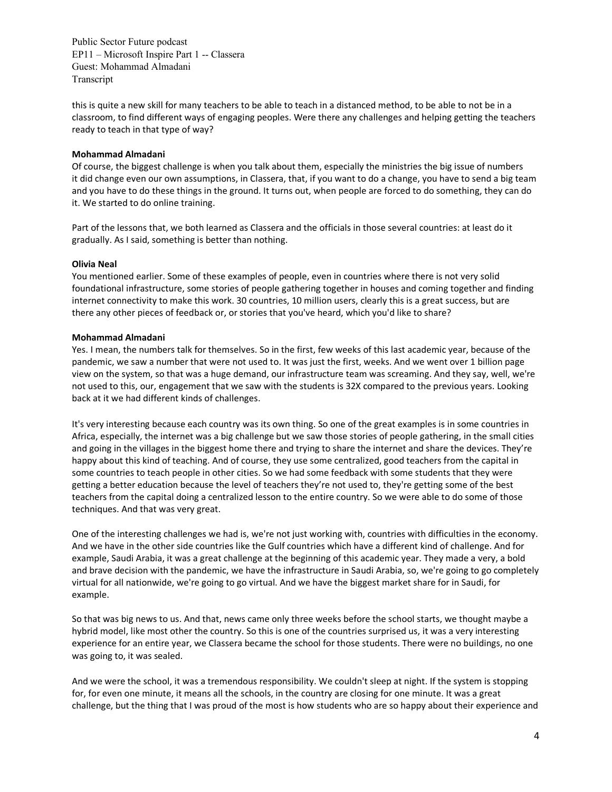this is quite a new skill for many teachers to be able to teach in a distanced method, to be able to not be in a classroom, to find different ways of engaging peoples. Were there any challenges and helping getting the teachers ready to teach in that type of way?

# **Mohammad Almadani**

Of course, the biggest challenge is when you talk about them, especially the ministries the big issue of numbers it did change even our own assumptions, in Classera, that, if you want to do a change, you have to send a big team and you have to do these things in the ground. It turns out, when people are forced to do something, they can do it. We started to do online training.

Part of the lessons that, we both learned as Classera and the officials in those several countries: at least do it gradually. As I said, something is better than nothing.

# **Olivia Neal**

You mentioned earlier. Some of these examples of people, even in countries where there is not very solid foundational infrastructure, some stories of people gathering together in houses and coming together and finding internet connectivity to make this work. 30 countries, 10 million users, clearly this is a great success, but are there any other pieces of feedback or, or stories that you've heard, which you'd like to share?

# **Mohammad Almadani**

Yes. I mean, the numbers talk for themselves. So in the first, few weeks of this last academic year, because of the pandemic, we saw a number that were not used to. It was just the first, weeks. And we went over 1 billion page view on the system, so that was a huge demand, our infrastructure team was screaming. And they say, well, we're not used to this, our, engagement that we saw with the students is 32X compared to the previous years. Looking back at it we had different kinds of challenges.

It's very interesting because each country was its own thing. So one of the great examples is in some countries in Africa, especially, the internet was a big challenge but we saw those stories of people gathering, in the small cities and going in the villages in the biggest home there and trying to share the internet and share the devices. They're happy about this kind of teaching. And of course, they use some centralized, good teachers from the capital in some countries to teach people in other cities. So we had some feedback with some students that they were getting a better education because the level of teachers they're not used to, they're getting some of the best teachers from the capital doing a centralized lesson to the entire country. So we were able to do some of those techniques. And that was very great.

One of the interesting challenges we had is, we're not just working with, countries with difficulties in the economy. And we have in the other side countries like the Gulf countries which have a different kind of challenge. And for example, Saudi Arabia, it was a great challenge at the beginning of this academic year. They made a very, a bold and brave decision with the pandemic, we have the infrastructure in Saudi Arabia, so, we're going to go completely virtual for all nationwide, we're going to go virtual. And we have the biggest market share for in Saudi, for example.

So that was big news to us. And that, news came only three weeks before the school starts, we thought maybe a hybrid model, like most other the country. So this is one of the countries surprised us, it was a very interesting experience for an entire year, we Classera became the school for those students. There were no buildings, no one was going to, it was sealed.

And we were the school, it was a tremendous responsibility. We couldn't sleep at night. If the system is stopping for, for even one minute, it means all the schools, in the country are closing for one minute. It was a great challenge, but the thing that I was proud of the most is how students who are so happy about their experience and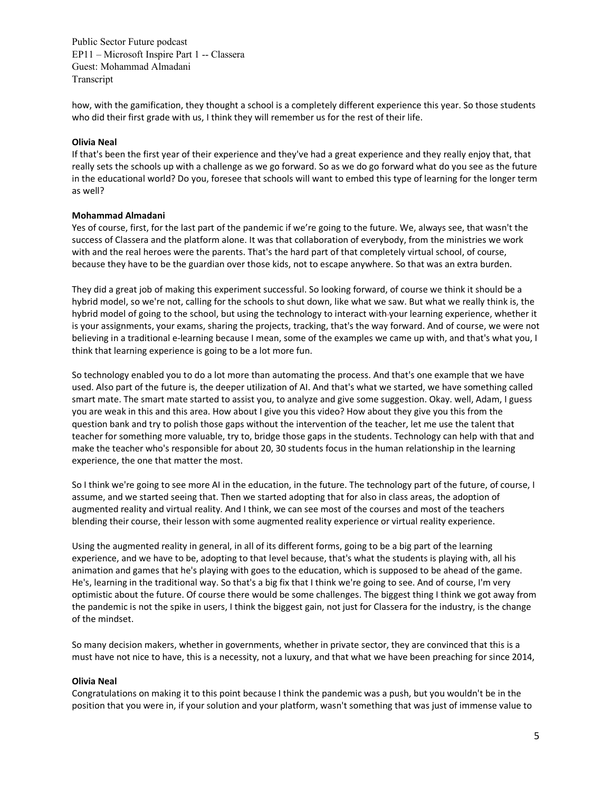how, with the gamification, they thought a school is a completely different experience this year. So those students who did their first grade with us, I think they will remember us for the rest of their life.

# **Olivia Neal**

If that's been the first year of their experience and they've had a great experience and they really enjoy that, that really sets the schools up with a challenge as we go forward. So as we do go forward what do you see as the future in the educational world? Do you, foresee that schools will want to embed this type of learning for the longer term as well?

# **Mohammad Almadani**

Yes of course, first, for the last part of the pandemic if we're going to the future. We, always see, that wasn't the success of Classera and the platform alone. It was that collaboration of everybody, from the ministries we work with and the real heroes were the parents. That's the hard part of that completely virtual school, of course, because they have to be the guardian over those kids, not to escape anywhere. So that was an extra burden.

They did a great job of making this experiment successful. So looking forward, of course we think it should be a hybrid model, so we're not, calling for the schools to shut down, like what we saw. But what we really think is, the hybrid model of going to the school, but using the technology to interact with your learning experience, whether it is your assignments, your exams, sharing the projects, tracking, that's the way forward. And of course, we were not believing in a traditional e-learning because I mean, some of the examples we came up with, and that's what you, I think that learning experience is going to be a lot more fun.

So technology enabled you to do a lot more than automating the process. And that's one example that we have used. Also part of the future is, the deeper utilization of AI. And that's what we started, we have something called smart mate. The smart mate started to assist you, to analyze and give some suggestion. Okay. well, Adam, I guess you are weak in this and this area. How about I give you this video? How about they give you this from the question bank and try to polish those gaps without the intervention of the teacher, let me use the talent that teacher for something more valuable, try to, bridge those gaps in the students. Technology can help with that and make the teacher who's responsible for about 20, 30 students focus in the human relationship in the learning experience, the one that matter the most.

So I think we're going to see more AI in the education, in the future. The technology part of the future, of course, I assume, and we started seeing that. Then we started adopting that for also in class areas, the adoption of augmented reality and virtual reality. And I think, we can see most of the courses and most of the teachers blending their course, their lesson with some augmented reality experience or virtual reality experience.

Using the augmented reality in general, in all of its different forms, going to be a big part of the learning experience, and we have to be, adopting to that level because, that's what the students is playing with, all his animation and games that he's playing with goes to the education, which is supposed to be ahead of the game. He's, learning in the traditional way. So that's a big fix that I think we're going to see. And of course, I'm very optimistic about the future. Of course there would be some challenges. The biggest thing I think we got away from the pandemic is not the spike in users, I think the biggest gain, not just for Classera for the industry, is the change of the mindset.

So many decision makers, whether in governments, whether in private sector, they are convinced that this is a must have not nice to have, this is a necessity, not a luxury, and that what we have been preaching for since 2014,

# **Olivia Neal**

Congratulations on making it to this point because I think the pandemic was a push, but you wouldn't be in the position that you were in, if your solution and your platform, wasn't something that was just of immense value to